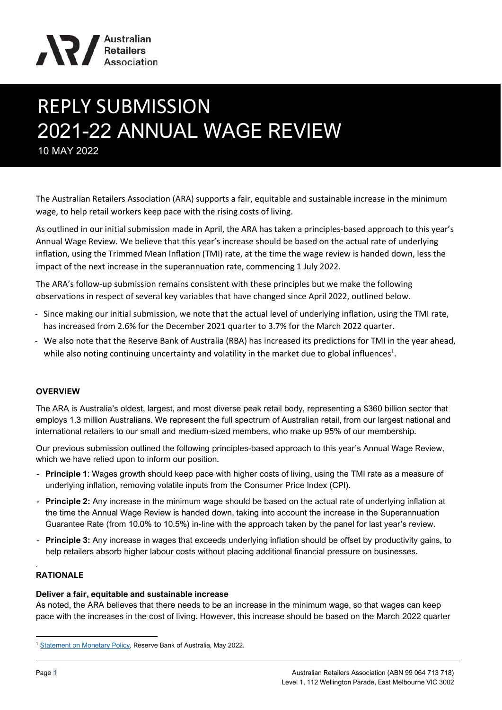

# REPLY SUBMISSION 2021-22 ANNUAL WAGE REVIEW 10 MAY 2022

The Australian Retailers Association (ARA) supports a fair, equitable and sustainable increase in the minimum wage, to help retail workers keep pace with the rising costs of living.

As outlined in our initial submission made in April, the ARA has taken a principles-based approach to this year's Annual Wage Review. We believe that this year's increase should be based on the actual rate of underlying inflation, using the Trimmed Mean Inflation (TMI) rate, at the time the wage review is handed down, less the impact of the next increase in the superannuation rate, commencing 1 July 2022.

The ARA's follow-up submission remains consistent with these principles but we make the following observations in respect of several key variables that have changed since April 2022, outlined below.

- Since making our initial submission, we note that the actual level of underlying inflation, using the TMI rate, has increased from 2.6% for the December 2021 quarter to 3.7% for the March 2022 quarter.
- We also note that the Reserve Bank of Australia (RBA) has increased its predictions for TMI in the year ahead, while also noting continuing uncertainty and volatility in the market due to global influences<sup>1</sup>.

# **OVERVIEW**

The ARA is Australia's oldest, largest, and most diverse peak retail body, representing a \$360 billion sector that employs 1.3 million Australians. We represent the full spectrum of Australian retail, from our largest national and international retailers to our small and medium-sized members, who make up 95% of our membership.

Our previous submission outlined the following principles-based approach to this year's Annual Wage Review, which we have relied upon to inform our position.

- **Principle 1**: Wages growth should keep pace with higher costs of living, using the TMI rate as a measure of underlying inflation, removing volatile inputs from the Consumer Price Index (CPI).
- **Principle 2:** Any increase in the minimum wage should be based on the actual rate of underlying inflation at the time the Annual Wage Review is handed down, taking into account the increase in the Superannuation Guarantee Rate (from 10.0% to 10.5%) in-line with the approach taken by the panel for last year's review.
- **Principle 3:** Any increase in wages that exceeds underlying inflation should be offset by productivity gains, to help retailers absorb higher labour costs without placing additional financial pressure on businesses.

# **RATIONALE**

.

#### **Deliver a fair, equitable and sustainable increase**

As noted, the ARA believes that there needs to be an increase in the minimum wage, so that wages can keep pace with the increases in the cost of living. However, this increase should be based on the March 2022 quarter

<sup>&</sup>lt;sup>1</sup> [Statement on Monetary Policy,](https://www.rba.gov.au/publications/smp/2022/may/) Reserve Bank of Australia, May 2022.